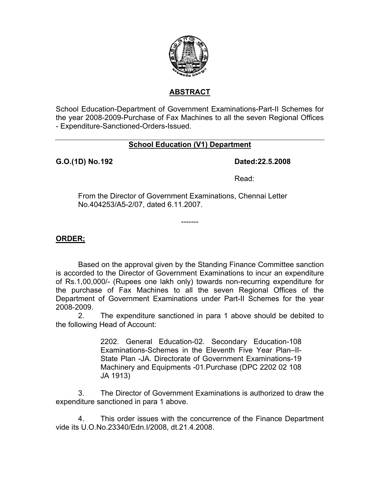

# **ABSTRACT**

School Education-Department of Government Examinations-Part-II Schemes for the year 2008-2009-Purchase of Fax Machines to all the seven Regional Offices - Expenditure-Sanctioned-Orders-Issued.

## **School Education (V1) Department**

**G.O.(1D) No. 192 Dated:22.5.2008** 

**Read:** The contract of the contract of the Read:

From the Director of Government Examinations, Chennai Letter No.404253/A5-2/07, dated 6.11.2007.

-------

### **ORDER;**

 Based on the approval given by the Standing Finance Committee sanction is accorded to the Director of Government Examinations to incur an expenditure of Rs.1,00,000/- (Rupees one lakh only) towards non-recurring expenditure for the purchase of Fax Machines to all the seven Regional Offices of the Department of Government Examinations under Part-II Schemes for the year 2008-2009.

 2. The expenditure sanctioned in para 1 above should be debited to the following Head of Account:

> 2202. General Education-02. Secondary Education-108 Examinations-Schemes in the Eleventh Five Year Plan–II-State Plan -JA. Directorate of Government Examinations-19 Machinery and Equipments -01.Purchase (DPC 2202 02 108 JA 1913)

3. The Director of Government Examinations is authorized to draw the expenditure sanctioned in para 1 above.

 4. This order issues with the concurrence of the Finance Department vide its U.O.No.23340/Edn.I/2008, dt.21.4.2008.